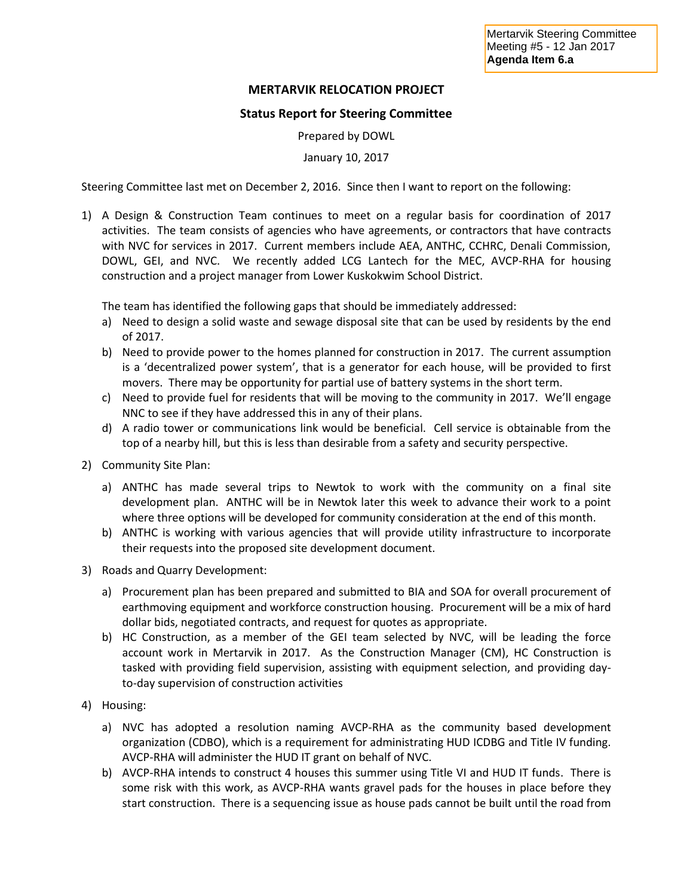## **MERTARVIK RELOCATION PROJECT**

## **Status Report for Steering Committee**

Prepared by DOWL

January 10, 2017

Steering Committee last met on December 2, 2016. Since then I want to report on the following:

1) A Design & Construction Team continues to meet on a regular basis for coordination of 2017 activities. The team consists of agencies who have agreements, or contractors that have contracts with NVC for services in 2017. Current members include AEA, ANTHC, CCHRC, Denali Commission, DOWL, GEI, and NVC. We recently added LCG Lantech for the MEC, AVCP-RHA for housing construction and a project manager from Lower Kuskokwim School District.

The team has identified the following gaps that should be immediately addressed:

- a) Need to design a solid waste and sewage disposal site that can be used by residents by the end of 2017.
- b) Need to provide power to the homes planned for construction in 2017. The current assumption is a 'decentralized power system', that is a generator for each house, will be provided to first movers. There may be opportunity for partial use of battery systems in the short term.
- c) Need to provide fuel for residents that will be moving to the community in 2017. We'll engage NNC to see if they have addressed this in any of their plans.
- d) A radio tower or communications link would be beneficial. Cell service is obtainable from the top of a nearby hill, but this is less than desirable from a safety and security perspective.
- 2) Community Site Plan:
	- a) ANTHC has made several trips to Newtok to work with the community on a final site development plan. ANTHC will be in Newtok later this week to advance their work to a point where three options will be developed for community consideration at the end of this month.
	- b) ANTHC is working with various agencies that will provide utility infrastructure to incorporate their requests into the proposed site development document.
- 3) Roads and Quarry Development:
	- a) Procurement plan has been prepared and submitted to BIA and SOA for overall procurement of earthmoving equipment and workforce construction housing. Procurement will be a mix of hard dollar bids, negotiated contracts, and request for quotes as appropriate.
	- b) HC Construction, as a member of the GEI team selected by NVC, will be leading the force account work in Mertarvik in 2017. As the Construction Manager (CM), HC Construction is tasked with providing field supervision, assisting with equipment selection, and providing dayto-day supervision of construction activities
- 4) Housing:
	- a) NVC has adopted a resolution naming AVCP-RHA as the community based development organization (CDBO), which is a requirement for administrating HUD ICDBG and Title IV funding. AVCP-RHA will administer the HUD IT grant on behalf of NVC.
	- b) AVCP-RHA intends to construct 4 houses this summer using Title VI and HUD IT funds. There is some risk with this work, as AVCP-RHA wants gravel pads for the houses in place before they start construction. There is a sequencing issue as house pads cannot be built until the road from